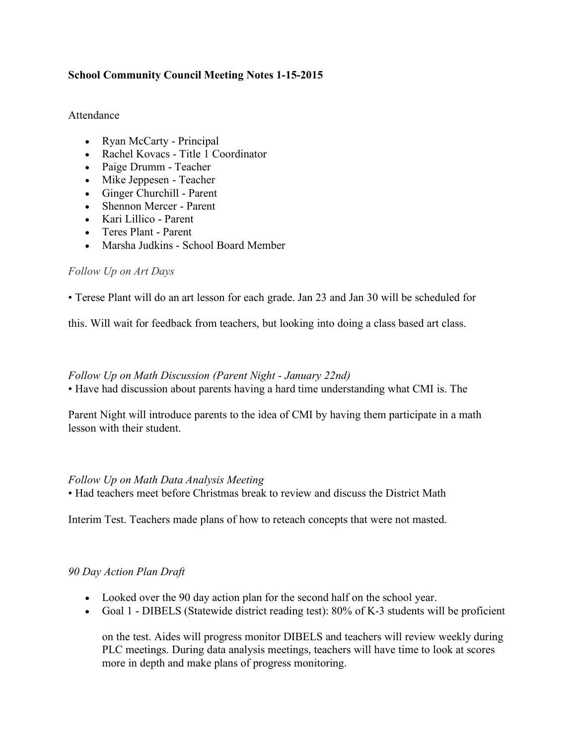# **School Community Council Meeting Notes 1-15-2015**

#### Attendance

- Ryan McCarty Principal
- Rachel Kovacs Title 1 Coordinator
- Paige Drumm Teacher
- Mike Jeppesen Teacher
- Ginger Churchill Parent
- Shennon Mercer Parent
- Kari Lillico Parent
- Teres Plant Parent
- Marsha Judkins School Board Member

### *Follow Up on Art Days*

• Terese Plant will do an art lesson for each grade. Jan 23 and Jan 30 will be scheduled for

this. Will wait for feedback from teachers, but looking into doing a class based art class.

#### *Follow Up on Math Discussion (Parent Night - January 22nd)*

• Have had discussion about parents having a hard time understanding what CMI is. The

Parent Night will introduce parents to the idea of CMI by having them participate in a math lesson with their student.

### *Follow Up on Math Data Analysis Meeting*

• Had teachers meet before Christmas break to review and discuss the District Math

Interim Test. Teachers made plans of how to reteach concepts that were not masted.

### *90 Day Action Plan Draft*

- Looked over the 90 day action plan for the second half on the school year.
- Goal 1 DIBELS (Statewide district reading test): 80% of K-3 students will be proficient

on the test. Aides will progress monitor DIBELS and teachers will review weekly during PLC meetings. During data analysis meetings, teachers will have time to look at scores more in depth and make plans of progress monitoring.